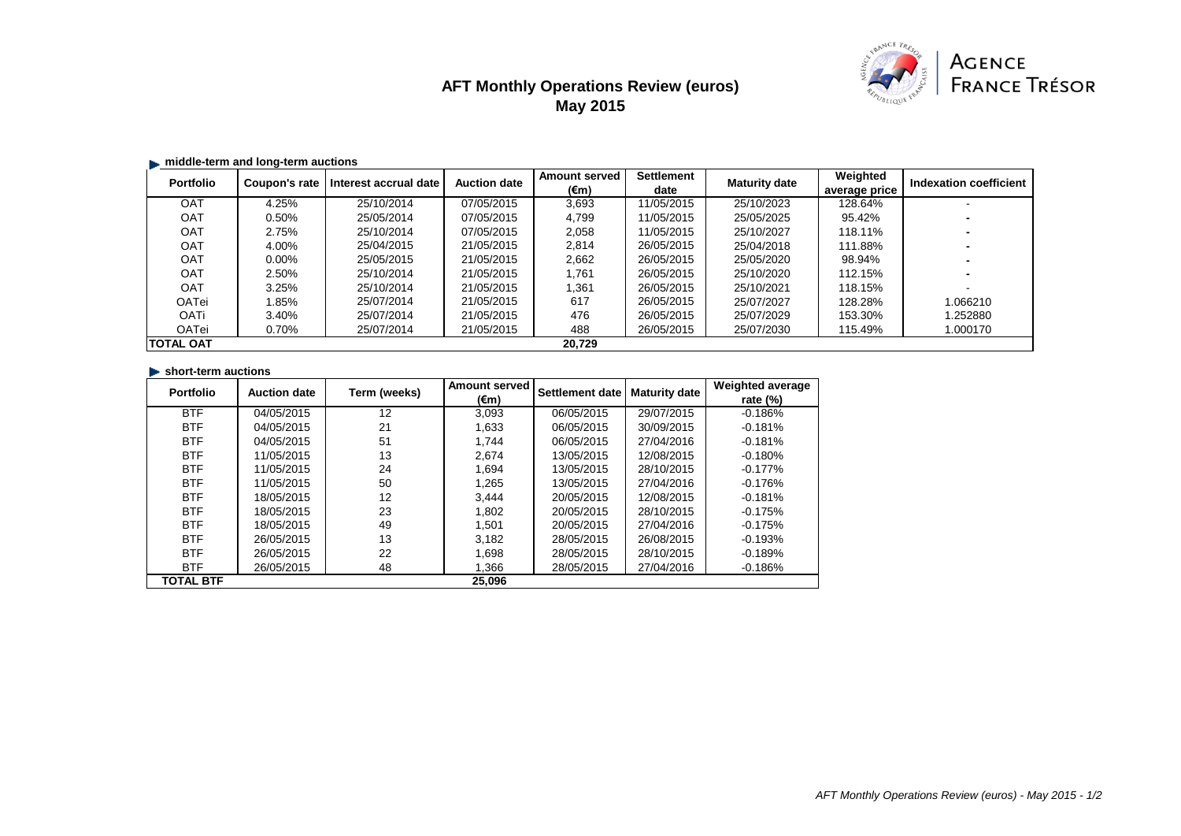# **AFT Monthly Operations Review (euros) May 2015**



## **middle-term and long-term auctions**

| <b>Portfolio</b> | Coupon's rate | Interest accrual date | <b>Auction date</b> | <b>Amount served</b><br>$(\epsilon m)$ | <b>Settlement</b><br>date | <b>Maturity date</b> | Weighted<br>average price | <b>Indexation coefficient</b> |
|------------------|---------------|-----------------------|---------------------|----------------------------------------|---------------------------|----------------------|---------------------------|-------------------------------|
| <b>OAT</b>       | 4.25%         | 25/10/2014            | 07/05/2015          | 3,693                                  | 11/05/2015                | 25/10/2023           | 128.64%                   |                               |
| <b>OAT</b>       | 0.50%         | 25/05/2014            | 07/05/2015          | 4,799                                  | 11/05/2015                | 25/05/2025           | 95.42%                    |                               |
| <b>OAT</b>       | 2.75%         | 25/10/2014            | 07/05/2015          | 2,058                                  | 11/05/2015                | 25/10/2027           | 118.11%                   |                               |
| <b>OAT</b>       | 4.00%         | 25/04/2015            | 21/05/2015          | 2,814                                  | 26/05/2015                | 25/04/2018           | 111.88%                   |                               |
| <b>OAT</b>       | $0.00\%$      | 25/05/2015            | 21/05/2015          | 2,662                                  | 26/05/2015                | 25/05/2020           | 98.94%                    |                               |
| OAT              | 2.50%         | 25/10/2014            | 21/05/2015          | 1,761                                  | 26/05/2015                | 25/10/2020           | 112.15%                   |                               |
| <b>OAT</b>       | 3.25%         | 25/10/2014            | 21/05/2015          | 1,361                                  | 26/05/2015                | 25/10/2021           | 118.15%                   |                               |
| <b>OATei</b>     | .85%          | 25/07/2014            | 21/05/2015          | 617                                    | 26/05/2015                | 25/07/2027           | 128.28%                   | 1.066210                      |
| <b>OATi</b>      | 3.40%         | 25/07/2014            | 21/05/2015          | 476                                    | 26/05/2015                | 25/07/2029           | 153.30%                   | 1.252880                      |
| <b>OATei</b>     | 0.70%         | 25/07/2014            | 21/05/2015          | 488                                    | 26/05/2015                | 25/07/2030           | 115.49%                   | 1.000170                      |
| <b>TOTAL OAT</b> |               |                       |                     | 20,729                                 |                           |                      |                           |                               |

## **short-term auctions**

| <b>Portfolio</b> | <b>Auction date</b> | Term (weeks) | <b>Amount served</b> | <b>Settlement date</b> | <b>Maturity date</b> | <b>Weighted average</b> |
|------------------|---------------------|--------------|----------------------|------------------------|----------------------|-------------------------|
|                  |                     |              | $(\epsilon m)$       |                        |                      | rate $(\%)$             |
| <b>BTF</b>       | 04/05/2015          | 12           | 3,093                | 06/05/2015             | 29/07/2015           | $-0.186%$               |
| <b>BTF</b>       | 04/05/2015          | 21           | 1,633                | 06/05/2015             | 30/09/2015           | $-0.181%$               |
| <b>BTF</b>       | 04/05/2015          | 51           | 1,744                | 06/05/2015             | 27/04/2016           | $-0.181%$               |
| <b>BTF</b>       | 11/05/2015          | 13           | 2,674                | 13/05/2015             | 12/08/2015           | $-0.180%$               |
| <b>BTF</b>       | 11/05/2015          | 24           | 1,694                | 13/05/2015             | 28/10/2015           | $-0.177%$               |
| <b>BTF</b>       | 11/05/2015          | 50           | 1,265                | 13/05/2015             | 27/04/2016           | $-0.176%$               |
| <b>BTF</b>       | 18/05/2015          | 12           | 3,444                | 20/05/2015             | 12/08/2015           | $-0.181%$               |
| <b>BTF</b>       | 18/05/2015          | 23           | 1,802                | 20/05/2015             | 28/10/2015           | $-0.175%$               |
| <b>BTF</b>       | 18/05/2015          | 49           | 1,501                | 20/05/2015             | 27/04/2016           | $-0.175%$               |
| <b>BTF</b>       | 26/05/2015          | 13           | 3,182                | 28/05/2015             | 26/08/2015           | $-0.193%$               |
| <b>BTF</b>       | 26/05/2015          | 22           | 1,698                | 28/05/2015             | 28/10/2015           | $-0.189%$               |
| <b>BTF</b>       | 26/05/2015          | 48           | 1,366                | 28/05/2015             | 27/04/2016           | $-0.186%$               |
| <b>TOTAL BTF</b> |                     |              | 25,096               |                        |                      |                         |